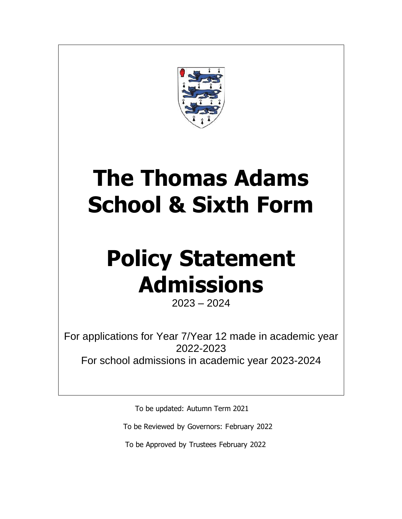

## **The Thomas Adams School & Sixth Form**

# **Policy Statement Admissions**

2023 – 2024

For applications for Year 7/Year 12 made in academic year 2022-2023 For school admissions in academic year 2023-2024

To be updated: Autumn Term 2021

To be Reviewed by Governors: February 2022

To be Approved by Trustees February 2022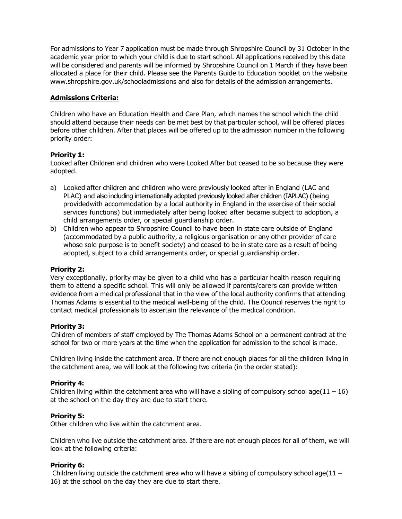For admissions to Year 7 application must be made through Shropshire Council by 31 October in the academic year prior to which your child is due to start school. All applications received by this date will be considered and parents will be informed by Shropshire Council on 1 March if they have been allocated a place for their child. Please see the Parents Guide to Education booklet on the website [www.shropshire.gov.uk/schooladmissions](http://www.shropshire.gov.uk/schooladmissions) and also for details of the admission arrangements.

#### **Admissions Criteria:**

Children who have an Education Health and Care Plan, which names the school which the child should attend because their needs can be met best by that particular school, will be offered places before other children. After that places will be offered up to the admission number in the following priority order:

#### **Priority 1:**

Looked after Children and children who were Looked After but ceased to be so because they were adopted.

- a) Looked after children and children who were previously looked after in England (LAC and PLAC) and also including internationally adopted previously looked after children (IAPLAC) (being providedwith accommodation by a local authority in England in the exercise of their social services functions) but immediately after being looked after became subject to adoption, a child arrangements order, or special guardianship order.
- b) Children who appear to Shropshire Council to have been in state care outside of England (accommodated by a public authority, a religious organisation or any other provider of care whose sole purpose is to benefit society) and ceased to be in state care as a result of being adopted, subject to a child arrangements order, or special guardianship order.

#### **Priority 2:**

Very exceptionally, priority may be given to a child who has a particular health reason requiring them to attend a specific school. This will only be allowed if parents/carers can provide written evidence from a medical professional that in the view of the local authority confirms that attending Thomas Adams is essential to the medical well-being of the child. The Council reserves the right to contact medical professionals to ascertain the relevance of the medical condition.

#### **Priority 3:**

Children of members of staff employed by The Thomas Adams School on a permanent contract at the school for two or more years at the time when the application for admission to the school is made.

Children living inside the catchment area. If there are not enough places for all the children living in the catchment area, we will look at the following two criteria (in the order stated):

#### **Priority 4:**

Children living within the catchment area who will have a sibling of compulsory school age( $11 - 16$ ) at the school on the day they are due to start there.

#### **Priority 5:**

Other children who live within the catchment area.

Children who live outside the catchment area. If there are not enough places for all of them, we will look at the following criteria:

#### **Priority 6:**

Children living outside the catchment area who will have a sibling of compulsory school age( $11 -$ 16) at the school on the day they are due to start there.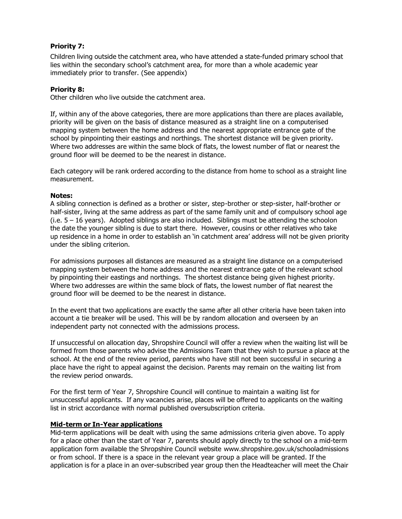#### **Priority 7:**

Children living outside the catchment area, who have attended a state-funded primary school that lies within the secondary school's catchment area, for more than a whole academic year immediately prior to transfer. (See appendix)

#### **Priority 8:**

Other children who live outside the catchment area.

If, within any of the above categories, there are more applications than there are places available, priority will be given on the basis of distance measured as a straight line on a computerised mapping system between the home address and the nearest appropriate entrance gate of the school by pinpointing their eastings and northings. The shortest distance will be given priority. Where two addresses are within the same block of flats, the lowest number of flat or nearest the ground floor will be deemed to be the nearest in distance.

Each category will be rank ordered according to the distance from home to school as a straight line measurement.

#### **Notes:**

A sibling connection is defined as a brother or sister, step-brother or step-sister, half-brother or half-sister, living at the same address as part of the same family unit and of compulsory school age  $(i.e. 5 - 16$  years). Adopted siblings are also included. Siblings must be attending the schoolon the date the younger sibling is due to start there. However, cousins or other relatives who take up residence in a home in order to establish an 'in catchment area' address will not be given priority under the sibling criterion.

For admissions purposes all distances are measured as a straight line distance on a computerised mapping system between the home address and the nearest entrance gate of the relevant school by pinpointing their eastings and northings. The shortest distance being given highest priority. Where two addresses are within the same block of flats, the lowest number of flat nearest the ground floor will be deemed to be the nearest in distance.

In the event that two applications are exactly the same after all other criteria have been taken into account a tie breaker will be used. This will be by random allocation and overseen by an independent party not connected with the admissions process.

If unsuccessful on allocation day, Shropshire Council will offer a review when the waiting list will be formed from those parents who advise the Admissions Team that they wish to pursue a place at the school. At the end of the review period, parents who have still not been successful in securing a place have the right to appeal against the decision. Parents may remain on the waiting list from the review period onwards.

For the first term of Year 7, Shropshire Council will continue to maintain a waiting list for unsuccessful applicants. If any vacancies arise, places will be offered to applicants on the waiting list in strict accordance with normal published oversubscription criteria.

#### **Mid-term or In-Year applications**

Mid-term applications will be dealt with using the same admissions criteria given above. To apply for a place other than the start of Year 7, parents should apply directly to the school on a mid-term application form available the Shropshire Council website [www.shropshire.gov.uk/schooladmissions](http://www.shropshire.gov.uk/schooladmissions) or from school. If there is a space in the relevant year group a place will be granted. If the application is for a place in an over-subscribed year group then the Headteacher will meet the Chair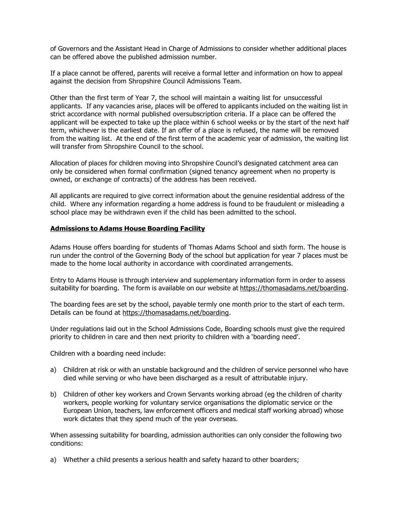of Governors and the Assistant Head in Charge of Admissions to consider whether additional places can be offered above the published admission number.

If a place cannot be offered, parents will receive a formal letter and information on how to appeal against the decision from Shropshire Council Admissions Team.

Other than the first term of Year 7, the school will maintain a waiting list for unsuccessful applicants. If any vacancies arise, places will be offered to applicants included on the waiting list in strict accordance with normal published oversubscription criteria. If a place can be offered the applicant will be expected to take up the place within 6 school weeks or by the start of the next half term, whichever is the earliest date. If an offer of a place is refused, the name will be removed from the waiting list. At the end of the first term of the academic year of admission, the waiting list will transfer from Shropshire Council to the school.

Allocation of places for children moving into Shropshire Council's designated catchment area can only be considered when formal confirmation (signed tenancy agreement when no property is owned, or exchange of contracts) of the address has been received.

All applicants are required to give correct information about the genuine residential address of the child. Where any information regarding a home address is found to be fraudulent or misleading a school place may be withdrawn even if the child has been admitted to the school.

#### **Admissions to Adams House Boarding Facility**

Adams House offers boarding for students of Thomas Adams School and sixth form. The house is run under the control of the Governing Body of the school but application for year 7 places must be made to the home local authority in accordance with coordinated arrangements.

Entry to Adams House is through interview and supplementary information form in order to assess suitability for boarding. The form is available on our website at https://thomasadams.net/boarding.

The boarding fees are set by the school, payable termly one month prior to the start of each term. Details can be found at https://thomasadams.net/boarding.

Under regulations laid out in the School Admissions Code, Boarding schools must give the required priority to children in care and then next priority to children with a 'boarding need'.

Children with a boarding need include:

- a) Children at risk or with an unstable background and the children of service personnel who have died while serving or who have been discharged as a result of attributable injury.
- b) Children of other key workers and Crown Servants working abroad (eg the children of charity workers, people working for voluntary service organisations the diplomatic service or the European Union, teachers, law enforcement officers and medical staff working abroad) whose work dictates that they spend much of the year overseas.

When assessing suitability for boarding, admission authorities can only consider the following two conditions:

a) Whether a child presents a serious health and safety hazard to other boarders;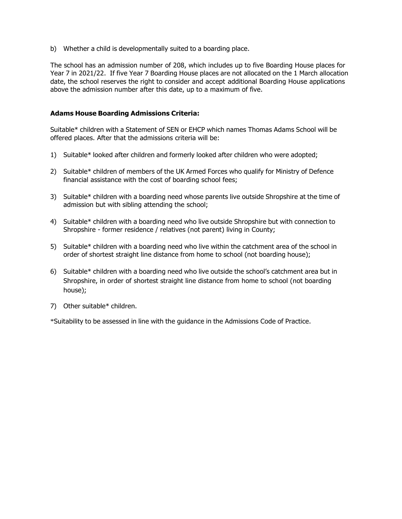b) Whether a child is developmentally suited to a boarding place.

The school has an admission number of 208, which includes up to five Boarding House places for Year 7 in 2021/22. If five Year 7 Boarding House places are not allocated on the 1 March allocation date, the school reserves the right to consider and accept additional Boarding House applications above the admission number after this date, up to a maximum of five.

#### **Adams House Boarding Admissions Criteria:**

Suitable\* children with a Statement of SEN or EHCP which names Thomas Adams School will be offered places. After that the admissions criteria will be:

- 1) Suitable\* looked after children and formerly looked after children who were adopted;
- 2) Suitable\* children of members of the UK Armed Forces who qualify for Ministry of Defence financial assistance with the cost of boarding school fees;
- 3) Suitable\* children with a boarding need whose parents live outside Shropshire at the time of admission but with sibling attending the school;
- 4) Suitable\* children with a boarding need who live outside Shropshire but with connection to Shropshire - former residence / relatives (not parent) living in County;
- 5) Suitable\* children with a boarding need who live within the catchment area of the school in order of shortest straight line distance from home to school (not boarding house);
- 6) Suitable\* children with a boarding need who live outside the school's catchment area but in Shropshire, in order of shortest straight line distance from home to school (not boarding house);
- 7) Other suitable\* children.

\*Suitability to be assessed in line with the guidance in the Admissions Code of Practice.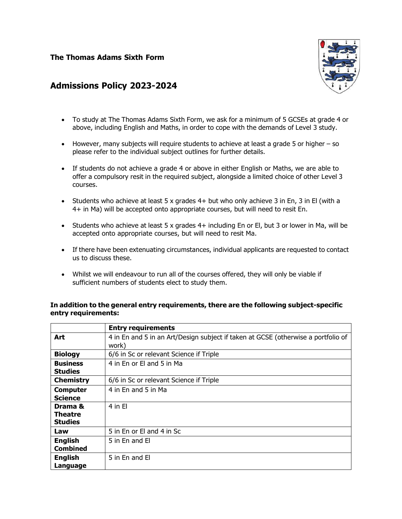#### **The Thomas Adams Sixth Form**



### **Admissions Policy 2023-2024**

- To study at The Thomas Adams Sixth Form, we ask for a minimum of 5 GCSEs at grade 4 or above, including English and Maths, in order to cope with the demands of Level 3 study.
- However, many subjects will require students to achieve at least a grade 5 or higher so please refer to the individual subject outlines for further details.
- If students do not achieve a grade 4 or above in either English or Maths, we are able to offer a compulsory resit in the required subject, alongside a limited choice of other Level 3 courses.
- Students who achieve at least 5 x grades  $4+$  but who only achieve 3 in En, 3 in El (with a 4+ in Ma) will be accepted onto appropriate courses, but will need to resit En.
- $\bullet$  Students who achieve at least 5 x grades 4+ including En or El, but 3 or lower in Ma, will be accepted onto appropriate courses, but will need to resit Ma.
- If there have been extenuating circumstances, individual applicants are requested to contact us to discuss these.
- Whilst we will endeavour to run all of the courses offered, they will only be viable if sufficient numbers of students elect to study them.

|                  | <b>Entry requirements</b>                                                         |
|------------------|-----------------------------------------------------------------------------------|
| Art              | 4 in En and 5 in an Art/Design subject if taken at GCSE (otherwise a portfolio of |
|                  | work)                                                                             |
| <b>Biology</b>   | 6/6 in Sc or relevant Science if Triple                                           |
| <b>Business</b>  | 4 in En or El and 5 in Ma                                                         |
| <b>Studies</b>   |                                                                                   |
| <b>Chemistry</b> | 6/6 in Sc or relevant Science if Triple                                           |
| <b>Computer</b>  | 4 in En and 5 in Ma                                                               |
| <b>Science</b>   |                                                                                   |
| Drama &          | $4$ in El                                                                         |
| <b>Theatre</b>   |                                                                                   |
| <b>Studies</b>   |                                                                                   |
| Law              | 5 in En or El and 4 in Sc                                                         |
| <b>English</b>   | 5 in En and El                                                                    |
| <b>Combined</b>  |                                                                                   |
| <b>English</b>   | 5 in En and El                                                                    |
| Language         |                                                                                   |

#### **In addition to the general entry requirements, there are the following subject-specific entry requirements:**